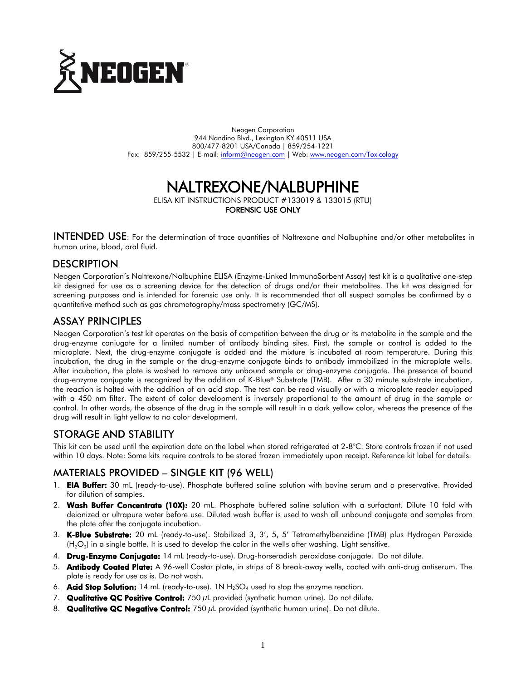

Neogen Corporation 944 Nandino Blvd., Lexington KY 40511 USA 800/477-8201 USA/Canada | 859/254-1221 Fax: 859/255-5532 | E-mail: [inform@neogen.com](mailto:inform@neogen.com) | Web: [www.neogen.com/Toxicology](http://www.neogen.com/Toxicology)

# NALTREXONE/NALBUPHINE

ELISA KIT INSTRUCTIONS PRODUCT #133019 & 133015 (RTU)

FORENSIC USE ONLY

INTENDED USE: For the determination of trace quantities of Naltrexone and Nalbuphine and/or other metabolites in human urine, blood, oral fluid.

#### **DESCRIPTION**

Neogen Corporation's Naltrexone/Nalbuphine ELISA (Enzyme-Linked ImmunoSorbent Assay) test kit is a qualitative one-step kit designed for use as a screening device for the detection of drugs and/or their metabolites. The kit was designed for screening purposes and is intended for forensic use only. It is recommended that all suspect samples be confirmed by a quantitative method such as gas chromatography/mass spectrometry (GC/MS).

#### ASSAY PRINCIPLES

Neogen Corporation's test kit operates on the basis of competition between the drug or its metabolite in the sample and the drug-enzyme conjugate for a limited number of antibody binding sites. First, the sample or control is added to the microplate. Next, the drug-enzyme conjugate is added and the mixture is incubated at room temperature. During this incubation, the drug in the sample or the drug-enzyme conjugate binds to antibody immobilized in the microplate wells. After incubation, the plate is washed to remove any unbound sample or drug-enzyme conjugate. The presence of bound drug-enzyme conjugate is recognized by the addition of K-Blue® Substrate (TMB). After a 30 minute substrate incubation, the reaction is halted with the addition of an acid stop. The test can be read visually or with a microplate reader equipped with a 450 nm filter. The extent of color development is inversely proportional to the amount of drug in the sample or control. In other words, the absence of the drug in the sample will result in a dark yellow color, whereas the presence of the drug will result in light yellow to no color development.

### STORAGE AND STABILITY

This kit can be used until the expiration date on the label when stored refrigerated at 2-8°C. Store controls frozen if not used within 10 days. Note: Some kits require controls to be stored frozen immediately upon receipt. Reference kit label for details.

### MATERIALS PROVIDED – SINGLE KIT (96 WELL)

- 1. **EIA Buffer:** 30 mL (ready-to-use). Phosphate buffered saline solution with bovine serum and a preservative. Provided for dilution of samples.
- 2. Wash Buffer Concentrate (10X): 20 mL. Phosphate buffered saline solution with a surfactant. Dilute 10 fold with deionized or ultrapure water before use. Diluted wash buffer is used to wash all unbound conjugate and samples from the plate after the conjugate incubation.
- 3. K-Blue Substrate: 20 mL (ready-to-use). Stabilized 3, 3', 5, 5' Tetramethylbenzidine (TMB) plus Hydrogen Peroxide (H $_{2}$ O $_{2}$ ) in a single bottle. It is used to develop the color in the wells after washing. Light sensitive.
- 4. Drug-Enzyme Conjugate: 14 mL (ready-to-use). Drug-horseradish peroxidase conjugate. Do not dilute.
- 5. Antibody Coated Plate: A 96-well Costar plate, in strips of 8 break-away wells, coated with anti-drug antiserum. The plate is ready for use as is. Do not wash.
- 6. **Acid Stop Solution:** 14 mL (ready-to-use). 1N  $H_2SO_4$  used to stop the enzyme reaction.
- 7. Qualitative QC Positive Control: 750 µL provided (synthetic human urine). Do not dilute.
- 8. **Qualitative QC Negative Control:** 750  $\mu$ L provided (synthetic human urine). Do not dilute.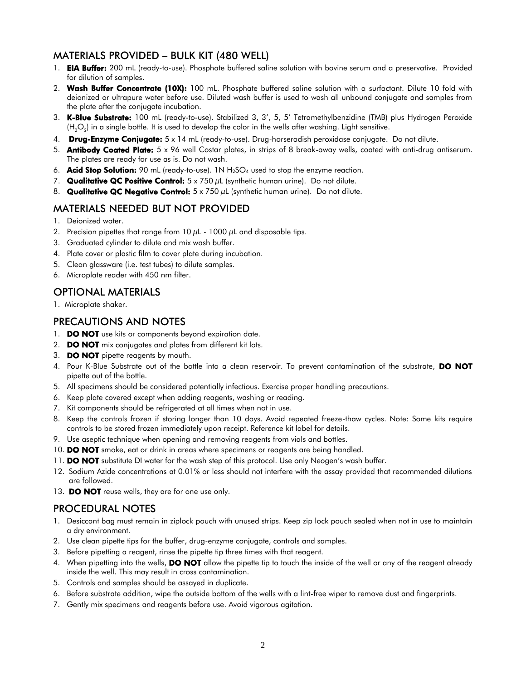### MATERIALS PROVIDED – BULK KIT (480 WELL)

- 1. **EIA Buffer:** 200 mL (ready-to-use). Phosphate buffered saline solution with bovine serum and a preservative. Provided for dilution of samples.
- 2. Wash Buffer Concentrate (10X): 100 mL. Phosphate buffered saline solution with a surfactant. Dilute 10 fold with deionized or ultrapure water before use. Diluted wash buffer is used to wash all unbound conjugate and samples from the plate after the conjugate incubation.
- 3. K-Blue Substrate: 100 mL (ready-to-use). Stabilized 3, 3', 5, 5' Tetramethylbenzidine (TMB) plus Hydrogen Peroxide (H<sub>2</sub>O<sub>2</sub>) in a single bottle. It is used to develop the color in the wells after washing. Light sensitive.
- 4. Drug-Enzyme Conjugate: 5 x 14 mL (ready-to-use). Drug-horseradish peroxidase conjugate. Do not dilute.
- 5. Antibody Coated Plate: 5 x 96 well Costar plates, in strips of 8 break-away wells, coated with anti-drug antiserum. The plates are ready for use as is. Do not wash.
- 6. **Acid Stop Solution:** 90 mL (ready-to-use). 1N  $H_2SO_4$  used to stop the enzyme reaction.
- 7. Qualitative QC Positive Control:  $5 \times 750 \mu L$  (synthetic human urine). Do not dilute.
- 8. Qualitative QC Negative Control:  $5 \times 750 \mu L$  (synthetic human urine). Do not dilute.

## MATERIALS NEEDED BUT NOT PROVIDED

- 1. Deionized water.
- 2. Precision pipettes that range from  $10 \mu$ L  $1000 \mu$ L and disposable tips.
- 3. Graduated cylinder to dilute and mix wash buffer.
- 4. Plate cover or plastic film to cover plate during incubation.
- 5. Clean glassware (i.e. test tubes) to dilute samples.
- 6. Microplate reader with 450 nm filter.

# OPTIONAL MATERIALS

1. Microplate shaker.

## PRECAUTIONS AND NOTES

- 1. **DO NOT** use kits or components beyond expiration date.
- 2. **DO NOT** mix conjugates and plates from different kit lots.
- 3. **DO NOT** pipette reagents by mouth.
- 4. Pour K-Blue Substrate out of the bottle into a clean reservoir. To prevent contamination of the substrate, DO NOT pipette out of the bottle.
- 5. All specimens should be considered potentially infectious. Exercise proper handling precautions.
- 6. Keep plate covered except when adding reagents, washing or reading.
- 7. Kit components should be refrigerated at all times when not in use.
- 8. Keep the controls frozen if storing longer than 10 days. Avoid repeated freeze-thaw cycles. Note: Some kits require controls to be stored frozen immediately upon receipt. Reference kit label for details.
- 9. Use aseptic technique when opening and removing reagents from vials and bottles.
- 10. DO NOT smoke, eat or drink in areas where specimens or reagents are being handled.
- 11. **DO NOT** substitute DI water for the wash step of this protocol. Use only Neogen's wash buffer.
- 12. Sodium Azide concentrations at 0.01% or less should not interfere with the assay provided that recommended dilutions are followed.
- 13. DO NOT reuse wells, they are for one use only.

### PROCEDURAL NOTES

- 1. Desiccant bag must remain in ziplock pouch with unused strips. Keep zip lock pouch sealed when not in use to maintain a dry environment.
- 2. Use clean pipette tips for the buffer, drug-enzyme conjugate, controls and samples.
- 3. Before pipetting a reagent, rinse the pipette tip three times with that reagent.
- 4. When pipetting into the wells, **DO NOT** allow the pipette tip to touch the inside of the well or any of the reagent already inside the well. This may result in cross contamination.
- 5. Controls and samples should be assayed in duplicate.
- 6. Before substrate addition, wipe the outside bottom of the wells with a lint-free wiper to remove dust and fingerprints.
- 7. Gently mix specimens and reagents before use. Avoid vigorous agitation.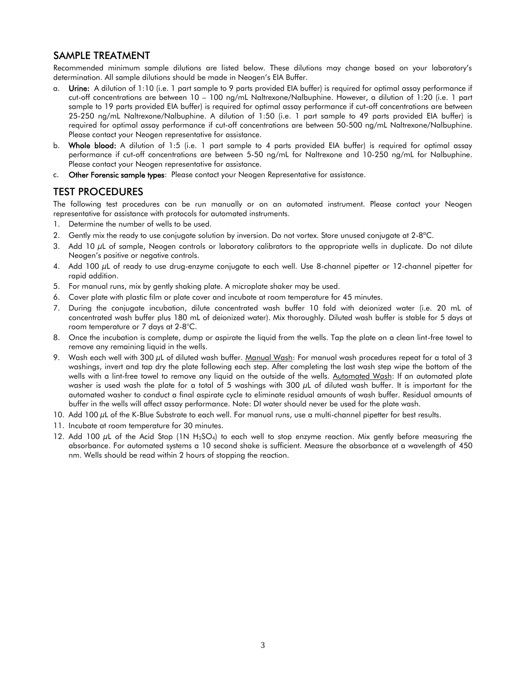### SAMPLE TREATMENT

Recommended minimum sample dilutions are listed below. These dilutions may change based on your laboratory's determination. All sample dilutions should be made in Neogen's EIA Buffer.

- a. Urine: A dilution of 1:10 (i.e. 1 part sample to 9 parts provided EIA buffer) is required for optimal assay performance if cut-off concentrations are between 10 – 100 ng/mL Naltrexone/Nalbuphine. However, a dilution of 1:20 (i.e. 1 part sample to 19 parts provided EIA buffer) is required for optimal assay performance if cut-off concentrations are between 25-250 ng/mL Naltrexone/Nalbuphine. A dilution of 1:50 (i.e. 1 part sample to 49 parts provided EIA buffer) is required for optimal assay performance if cut-off concentrations are between 50-500 ng/mL Naltrexone/Nalbuphine. Please contact your Neogen representative for assistance.
- b. Whole blood: A dilution of 1:5 (i.e. 1 part sample to 4 parts provided EIA buffer) is required for optimal assay performance if cut-off concentrations are between 5-50 ng/mL for Naltrexone and 10-250 ng/mL for Nalbuphine. Please contact your Neogen representative for assistance.
- c. Other Forensic sample types: Please contact your Neogen Representative for assistance.

### TEST PROCEDURES

The following test procedures can be run manually or on an automated instrument. Please contact your Neogen representative for assistance with protocols for automated instruments.

- 1. Determine the number of wells to be used.
- 2. Gently mix the ready to use conjugate solution by inversion. Do not vortex. Store unused conjugate at 2-8°C.
- 3. Add 10  $\mu$ L of sample, Neogen controls or laboratory calibrators to the appropriate wells in duplicate. Do not dilute Neogen's positive or negative controls.
- 4. Add 100 µL of ready to use drug-enzyme conjugate to each well. Use 8-channel pipetter or 12-channel pipetter for rapid addition.
- 5. For manual runs, mix by gently shaking plate. A microplate shaker may be used.
- 6. Cover plate with plastic film or plate cover and incubate at room temperature for 45 minutes.
- 7. During the conjugate incubation, dilute concentrated wash buffer 10 fold with deionized water (i.e. 20 mL of concentrated wash buffer plus 180 mL of deionized water). Mix thoroughly. Diluted wash buffer is stable for 5 days at room temperature or 7 days at 2-8°C.
- 8. Once the incubation is complete, dump or aspirate the liquid from the wells. Tap the plate on a clean lint-free towel to remove any remaining liquid in the wells.
- 9. Wash each well with 300  $\mu$ L of diluted wash buffer. Manual Wash: For manual wash procedures repeat for a total of 3 washings, invert and tap dry the plate following each step. After completing the last wash step wipe the bottom of the wells with a lint-free towel to remove any liquid on the outside of the wells. Automated Wash: If an automated plate washer is used wash the plate for a total of 5 washings with  $300 \mu$ L of diluted wash buffer. It is important for the automated washer to conduct a final aspirate cycle to eliminate residual amounts of wash buffer. Residual amounts of buffer in the wells will affect assay performance. Note: DI water should never be used for the plate wash.
- 10. Add 100 µL of the K-Blue Substrate to each well. For manual runs, use a multi-channel pipetter for best results.
- 11. Incubate at room temperature for 30 minutes.
- 12. Add 100  $\mu$ L of the Acid Stop (1N H<sub>2</sub>SO<sub>4</sub>) to each well to stop enzyme reaction. Mix gently before measuring the absorbance. For automated systems a 10 second shake is sufficient. Measure the absorbance at a wavelength of 450 nm. Wells should be read within 2 hours of stopping the reaction.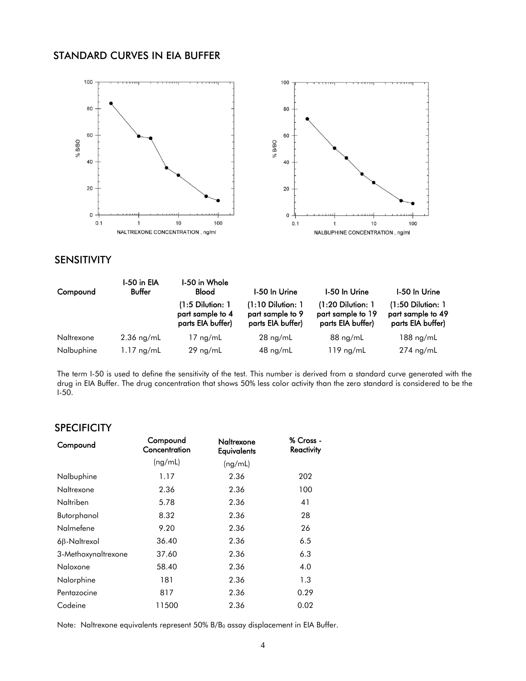#### STANDARD CURVES IN EIA BUFFER



#### SENSITIVITY

| Compound   | I-50 in EIA<br>Buffer | I-50 in Whole<br><b>Blood</b>                             | I-50 In Urine                                                | I-50 In Urine                                                 | I-50 In Urine                                                 |
|------------|-----------------------|-----------------------------------------------------------|--------------------------------------------------------------|---------------------------------------------------------------|---------------------------------------------------------------|
|            |                       | (1:5 Dilution: 1<br>part sample to 4<br>parts EIA buffer) | $(1:10$ Dilution: 1<br>part sample to 9<br>parts EIA buffer) | $(1:20$ Dilution: 1<br>part sample to 19<br>parts EIA buffer) | $(1:50$ Dilution: 1<br>part sample to 49<br>parts EIA buffer) |
| Naltrexone | $2.36$ ng/mL          | $17 \text{ ng/mL}$                                        | $28 \text{ ng/mL}$                                           | $88$ ng/mL                                                    | $188$ ng/mL                                                   |
| Nalbuphine | $1.17$ ng/mL          | $29$ ng/mL                                                | $48 \text{ ng/mL}$                                           | $119$ ng/mL                                                   | 274 ng/mL                                                     |

The term I-50 is used to define the sensitivity of the test. This number is derived from a standard curve generated with the drug in EIA Buffer. The drug concentration that shows 50% less color activity than the zero standard is considered to be the I-50.

#### **SPECIFICITY**

| Compound            | Compound<br>Concentration | Naltrexone<br><b>Equivalents</b> | % Cross -<br><b>Reactivity</b> |
|---------------------|---------------------------|----------------------------------|--------------------------------|
|                     | (ng/mL)                   | (ng/mL)                          |                                |
| Nalbuphine          | 1.17                      | 2.36                             | 202                            |
| Naltrexone          | 2.36                      | 2.36                             | 100                            |
| Naltriben           | 5.78                      | 2.36                             | 41                             |
| Butorphanol         | 8.32                      | 2.36                             | 28                             |
| Nalmefene           | 9.20                      | 2.36                             | 26                             |
| $6\beta$ -Naltrexol | 36.40                     | 2.36                             | 6.5                            |
| 3-Methoxynaltrexone | 37.60                     | 2.36                             | 6.3                            |
| Naloxone            | 58.40                     | 2.36                             | 4.0                            |
| Nalorphine          | 181                       | 2.36                             | 1.3                            |
| Pentazocine         | 817                       | 2.36                             | 0.29                           |
| Codeine             | 11500                     | 2.36                             | 0.02                           |

Note: Naltrexone equivalents represent 50% B/B<sub>0</sub> assay displacement in EIA Buffer.